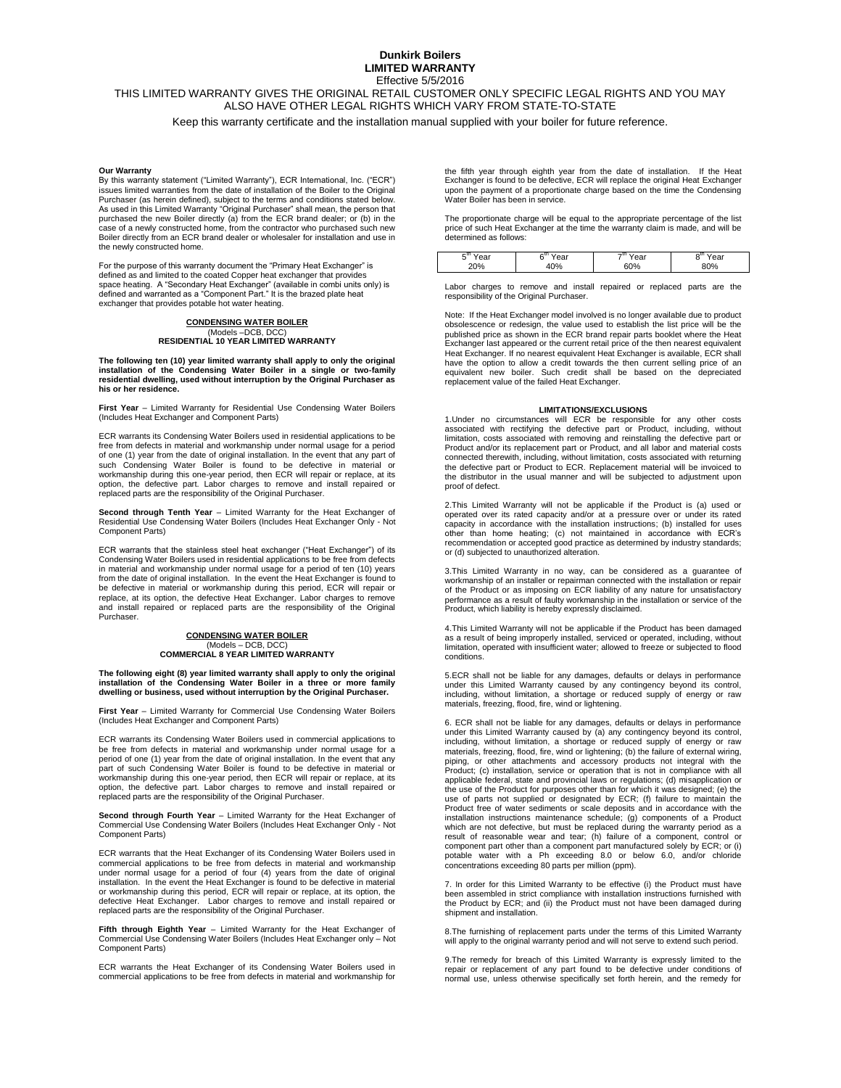#### **Dunkirk Boilers LIMITED WARRANTY** Effective 5/5/2016

## THIS LIMITED WARRANTY GIVES THE ORIGINAL RETAIL CUSTOMER ONLY SPECIFIC LEGAL RIGHTS AND YOU MAY ALSO HAVE OTHER LEGAL RIGHTS WHICH VARY FROM STATE-TO-STATE

Keep this warranty certificate and the installation manual supplied with your boiler for future reference.

#### **Our Warranty**

By this warranty statement ("Limited Warranty"), ECR International, Inc. ("ECR") issues limited warranties from the date of installation of the Boiler to the Original Purchaser (as herein defined), subject to the terms and conditions stated below. As used in this Limited Warranty "Original Purchaser" shall mean, the person that<br>purchased the new Boiler directly (a) from the ECR brand dealer; or (b) in the<br>case of a newly constructed home, from the contractor who pur the newly constructed home.

For the purpose of this warranty document the "Primary Heat Exchanger" is defined as and limited to the coated Copper heat exchanger that provides space heating. A "Secondary Heat Exchanger" (available in combi units only) is defined and warranted as a "Component Part." It is the brazed plate heat exchanger that provides potable hot water heating.

## **CONDENSING WATER BOILER** (Models –DCB, DCC) **RESIDENTIAL 10 YEAR LIMITED WARRANTY**

The following ten (10) year limited warranty shall apply to only the original<br>installation of the Condensing Water Boiler in a single or two-family<br>residential dwelling, used without interruption by the Original **his or her residence.**

**First Year** – Limited Warranty for Residential Use Condensing Water Boilers (Includes Heat Exchanger and Component Parts)

ECR warrants its Condensing Water Boilers used in residential applications to be free from defects in material and workmanship under normal usage for a period of one (1) year from the date of original installation. In the event that any part of such Condensing Water Boiler is found to be defective in material or workmanship during this one-year period, then ECR will repair or replace, at its option, the defective part. Labor charges to remove and install repaired or replaced parts are the responsibility of the Original Purchaser.

**Second through Tenth Year** – Limited Warranty for the Heat Exchanger of Residential Use Condensing Water Boilers (Includes Heat Exchanger Only - Not Component Parts)

ECR warrants that the stainless steel heat exchanger ("Heat Exchanger") of its Condensing Water Boilers used in residential applications to be free from defects in material and workmanship under normal usage for a period of ten (10) years from the date of original installation. In the event the Heat Exchanger is found to be defective in material or workmanship during this period, ECR will repair or replace, at its option, the defective Heat Exchanger. Labor charges to remove and install repaired or replaced parts are the responsibility of the Original Purchaser.

## **CONDENSING WATER BOILER** (Models – DCB, DCC) **COMMERCIAL 8 YEAR LIMITED WARRANTY**

**The following eight (8) year limited warranty shall apply to only the original installation of the Condensing Water Boiler in a three or more family dwelling or business, used without interruption by the Original Purchaser.**

**First Year** – Limited Warranty for Commercial Use Condensing Water Boilers (Includes Heat Exchanger and Component Parts)

ECR warrants its Condensing Water Boilers used in commercial applications to be free from defects in material and workmanship under normal usage for a period of one (1) year from the date of original installation. In the event that any part of such Condensing Water Boiler is found to be defective in material or workmanship during this one-year period, then ECR will repair or replace, at its option, the defective part. Labor charges to remove and install repaired or replaced parts are the responsibility of the Original Purchaser.

**Second through Fourth Year** – Limited Warranty for the Heat Exchanger of Commercial Use Condensing Water Boilers (Includes Heat Exchanger Only - Not Component Parts)

ECR warrants that the Heat Exchanger of its Condensing Water Boilers used in commercial applications to be free from defects in material and workmanship under normal usage for a period of four (4) years from the date of original installation. In the event the Heat Exchanger is found to be defective in material or workmanship during this period, ECR will repair or replace, at its option, the defective Heat Exchanger. Labor charges to remove and install repaired or replaced parts are the responsibility of the Original Purchaser.

**Fifth through Eighth Year** – Limited Warranty for the Heat Exchanger of Commercial Use Condensing Water Boilers (Includes Heat Exchanger only – Not Component Parts)

ECR warrants the Heat Exchanger of its Condensing Water Boilers used in commercial applications to be free from defects in material and workmanship for the fifth year through eighth year from the date of installation. If the Heat Exchanger is found to be defective, ECR will replace the original Heat Exchanger upon the payment of a proportionate charge based on the time the Condensing Water Boiler has been in service.

The proportionate charge will be equal to the appropriate percentage of the list price of such Heat Exchanger at the time the warranty claim is made, and will be determined as follows:

| –տ<br>.,<br>20% | . L.<br>$\sim$<br>7di<br>ነበ% | $-111$<br>ົ<br>eai<br>60% | ear<br>৲<br>80% |  |
|-----------------|------------------------------|---------------------------|-----------------|--|
|                 |                              |                           |                 |  |

Labor charges to remove and install repaired or replaced parts are the responsibility of the Original Purchaser.

Note: If the Heat Exchanger model involved is no longer available due to product obsolescence or redesign, the value used to establish the list price will be the published price as shown in the ECR brand repair parts booklet where the Heat Exchanger last appeared or the current retail price of the then nearest equivalent Heat Exchanger. If no nearest equivalent Heat Exchanger is available, ECR shall have the option to allow a credit towards the then current selling price of an equivalent new boiler. Such credit shall be based on the depreciated replacement value of the failed Heat Exchanger.

#### **LIMITATIONS/EXCLUSIONS**

1.Under no circumstances will ECR be responsible for any other costs associated with rectifying the defective part or Product, including, without limitation, costs associated with removing and reinstalling the defective part or Product and/or its replacement part or Product, and all labor and material costs connected therewith, including, without limitation, costs associated with returning the defective part or Product to ECR. Replacement material will be invoiced to the distributor in the usual manner and will be subjected to adjustment upon proof of defect.

2.This Limited Warranty will not be applicable if the Product is (a) used or<br>operated over its rated capacity and/or at a pressure over or under its rated<br>capacity in accordance with the installation instructions; (b) inst other than home heating; (c) not maintained in accordance with ECR's recommendation or accepted good practice as determined by industry standards; or (d) subjected to unauthorized alteration.

3.This Limited Warranty in no way, can be considered as a guarantee of workmanship of an installer or repairman connected with the installation or repair workmanship of an installer or repairman connected with the installation or repair of the Product or as imposing on ECR liability of any nature for unsatisfactory performance as a result of faulty workmanship in the installation or service of the Product, which liability is hereby expressly disclaimed.

4.This Limited Warranty will not be applicable if the Product has been damaged as a result of being improperly installed, serviced or operated, including, without limitation, operated with insufficient water; allowed to freeze or subjected to flood conditions.

5.ECR shall not be liable for any damages, defaults or delays in performance under this Limited Warranty caused by any contingency beyond its control, including, without limitation, a shortage or reduced supply of energy or raw materials, freezing, flood, fire, wind or lightening.

6. ECR shall not be liable for any damages, defaults or delays in performance under this Limited Warranty caused by (a) any contingency beyond its control, including, without limitation, a shortage or reduced supply of energy or raw materials, freezing, flood, fire, wind or lightening; (b) the failure of external wiring, piping, or other attachments and accessory products not integral with the Product; (c) installation, service or operation that is not in compliance with all applicable federal, state and provincial laws or regulations; (d) misapplication or the use of the Product for purposes other than for which it was designed; (e) the use of parts not supplied or designated by ECR; (f) failure to maintain the Product free of water sediments or scale deposits and in accordance with the installation instructions maintenance schedule; (g) components of a Product which are not defective, but must be replaced during the warranty period as a result of reasonable wear and tear; (h) failure of a component, control or<br>component part other than a component part manufactured solely by ECR; or (i)<br>potable water with a Ph exceeding 8.0 or below 6.0, and/or concentrations exceeding 80 parts per million (ppm).

7. In order for this Limited Warranty to be effective (i) the Product must have been assembled in strict compliance with installation instructions furnished with the Product by ECR; and (ii) the Product must not have been damaged during shipment and installation.

8.The furnishing of replacement parts under the terms of this Limited Warranty will apply to the original warranty period and will not serve to extend such period.

9.The remedy for breach of this Limited Warranty is expressly limited to the<br>repair or replacement of any part found to be defective under conditions of<br>normal use, unless otherwise specifically set forth herein, and the r